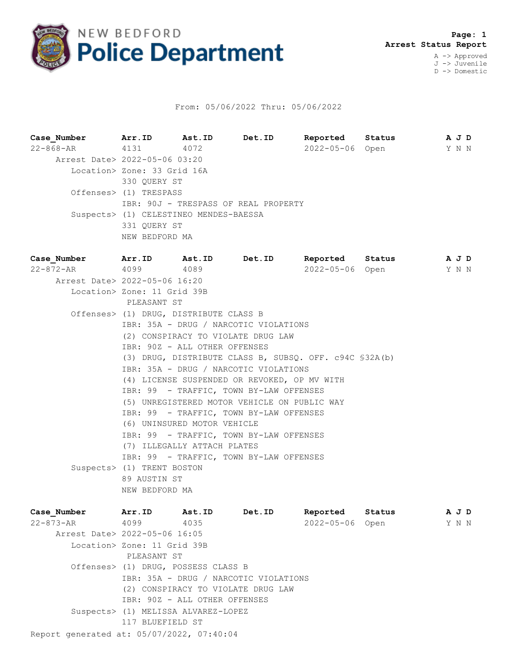

## From: 05/06/2022 Thru: 05/06/2022

**Case\_Number Arr.ID Ast.ID Det.ID Reported Status A J D** 22-868-AR 4131 4072 2022-05-06 Open Y N N Arrest Date> 2022-05-06 03:20 Location> Zone: 33 Grid 16A 330 QUERY ST Offenses> (1) TRESPASS IBR: 90J - TRESPASS OF REAL PROPERTY Suspects> (1) CELESTINEO MENDES-BAESSA 331 QUERY ST NEW BEDFORD MA **Case\_Number Arr.ID Ast.ID Det.ID Reported Status A J D** 22-872-AR 4099 4089 2022-05-06 Open Y N N Arrest Date> 2022-05-06 16:20 Location> Zone: 11 Grid 39B PLEASANT ST Offenses> (1) DRUG, DISTRIBUTE CLASS B IBR: 35A - DRUG / NARCOTIC VIOLATIONS (2) CONSPIRACY TO VIOLATE DRUG LAW IBR: 90Z - ALL OTHER OFFENSES (3) DRUG, DISTRIBUTE CLASS B, SUBSQ. OFF. c94C §32A(b) IBR: 35A - DRUG / NARCOTIC VIOLATIONS (4) LICENSE SUSPENDED OR REVOKED, OP MV WITH IBR: 99 - TRAFFIC, TOWN BY-LAW OFFENSES (5) UNREGISTERED MOTOR VEHICLE ON PUBLIC WAY IBR: 99 - TRAFFIC, TOWN BY-LAW OFFENSES (6) UNINSURED MOTOR VEHICLE IBR: 99 - TRAFFIC, TOWN BY-LAW OFFENSES (7) ILLEGALLY ATTACH PLATES IBR: 99 - TRAFFIC, TOWN BY-LAW OFFENSES Suspects> (1) TRENT BOSTON 89 AUSTIN ST

NEW BEDFORD MA

| Case Number                               | Arr.ID                              | Ast.ID                             | Det.ID                                | Reported   | Status | A J D |
|-------------------------------------------|-------------------------------------|------------------------------------|---------------------------------------|------------|--------|-------|
| 22-873-AR                                 | 4099                                | 4035                               |                                       | 2022-05-06 | Open   | Y N N |
| Arrest Date> 2022-05-06 16:05             |                                     |                                    |                                       |            |        |       |
|                                           | Location> Zone: 11 Grid 39B         |                                    |                                       |            |        |       |
|                                           | PLEASANT ST                         |                                    |                                       |            |        |       |
|                                           | Offenses> (1) DRUG, POSSESS CLASS B |                                    |                                       |            |        |       |
|                                           |                                     |                                    | IBR: 35A - DRUG / NARCOTIC VIOLATIONS |            |        |       |
|                                           |                                     | (2) CONSPIRACY TO VIOLATE DRUG LAW |                                       |            |        |       |
|                                           | IBR: 90Z - ALL OTHER OFFENSES       |                                    |                                       |            |        |       |
|                                           | Suspects> (1) MELISSA ALVAREZ-LOPEZ |                                    |                                       |            |        |       |
|                                           | 117 BLUEFIELD ST                    |                                    |                                       |            |        |       |
| Report generated at: 05/07/2022, 07:40:04 |                                     |                                    |                                       |            |        |       |